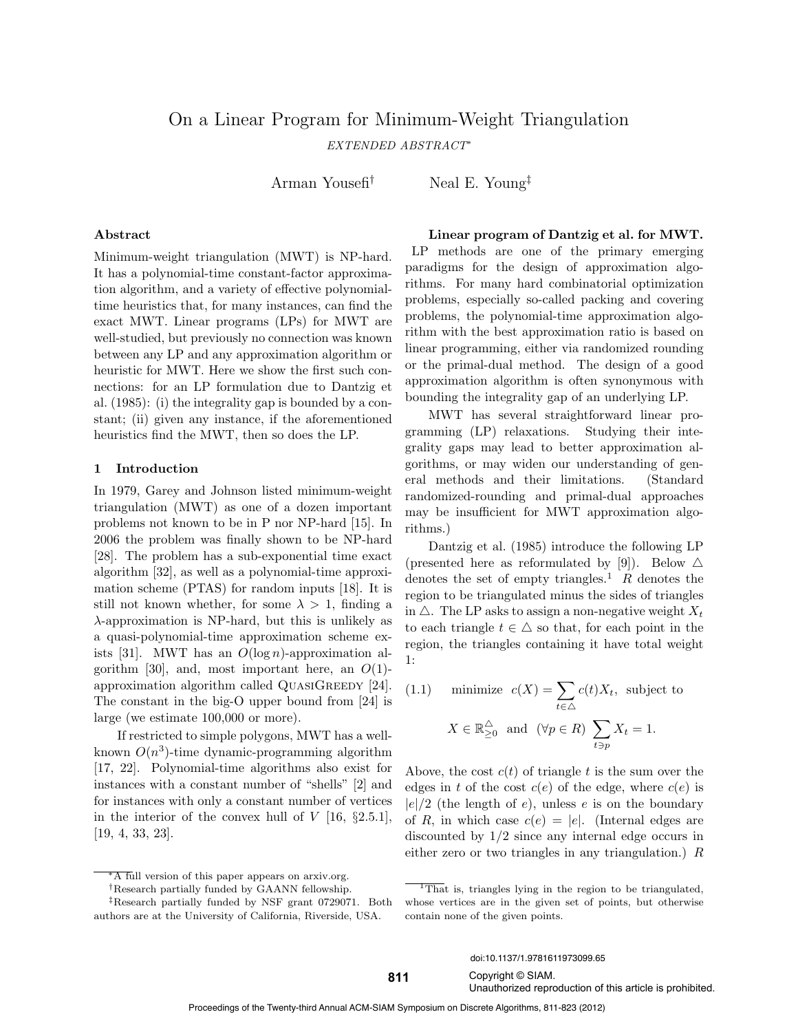# On a Linear Program for Minimum-Weight Triangulation

*EXTENDED ABSTRACT*⇤

Arman Yousefi*†* Neal E. Young*‡*

# Abstract

Minimum-weight triangulation (MWT) is NP-hard. It has a polynomial-time constant-factor approximation algorithm, and a variety of effective polynomialtime heuristics that, for many instances, can find the exact MWT. Linear programs (LPs) for MWT are well-studied, but previously no connection was known between any LP and any approximation algorithm or heuristic for MWT. Here we show the first such connections: for an LP formulation due to Dantzig et al. (1985): (i) the integrality gap is bounded by a constant; (ii) given any instance, if the aforementioned heuristics find the MWT, then so does the LP.

### 1 Introduction

In 1979, Garey and Johnson listed minimum-weight triangulation (MWT) as one of a dozen important problems not known to be in P nor NP-hard [15]. In 2006 the problem was finally shown to be NP-hard [28]. The problem has a sub-exponential time exact algorithm [32], as well as a polynomial-time approximation scheme (PTAS) for random inputs [18]. It is still not known whether, for some  $\lambda > 1$ , finding a  $\lambda$ -approximation is NP-hard, but this is unlikely as a quasi-polynomial-time approximation scheme exists [31]. MWT has an *O*(log *n*)-approximation algorithm [30], and, most important here, an *O*(1) approximation algorithm called QUASIGREEDY [24]. The constant in the big-O upper bound from [24] is large (we estimate 100,000 or more).

If restricted to simple polygons, MWT has a wellknown  $O(n^3)$ -time dynamic-programming algorithm [17, 22]. Polynomial-time algorithms also exist for instances with a constant number of "shells" [2] and for instances with only a constant number of vertices in the interior of the convex hull of  $V$  [16,  $\S 2.5.1$ ], [19, 4, 33, 23].

Linear program of Dantzig et al. for MWT. LP methods are one of the primary emerging paradigms for the design of approximation algorithms. For many hard combinatorial optimization problems, especially so-called packing and covering problems, the polynomial-time approximation algorithm with the best approximation ratio is based on linear programming, either via randomized rounding or the primal-dual method. The design of a good approximation algorithm is often synonymous with bounding the integrality gap of an underlying LP.

MWT has several straightforward linear programming (LP) relaxations. Studying their integrality gaps may lead to better approximation algorithms, or may widen our understanding of general methods and their limitations. (Standard randomized-rounding and primal-dual approaches may be insufficient for MWT approximation algorithms.)

Dantzig et al. (1985) introduce the following LP (presented here as reformulated by [9]). Below  $\triangle$ denotes the set of empty triangles.<sup>1</sup>  $R$  denotes the region to be triangulated minus the sides of triangles in  $\triangle$ . The LP asks to assign a non-negative weight  $X_t$ to each triangle  $t \in \Delta$  so that, for each point in the region, the triangles containing it have total weight 1:

(1.1) minimize 
$$
c(X) = \sum_{t \in \Delta} c(t)X_t
$$
, subject to  
 $X \in \mathbb{R}^{\Delta}_{\geq 0}$  and  $(\forall p \in R) \sum_{t \ni p} X_t = 1$ .

Above, the cost  $c(t)$  of triangle  $t$  is the sum over the edges in *t* of the cost  $c(e)$  of the edge, where  $c(e)$  is  $|e|/2$  (the length of *e*), unless *e* is on the boundary of *R*, in which case  $c(e) = |e|$ . (Internal edges are discounted by 1/2 since any internal edge occurs in either zero or two triangles in any triangulation.) *R*

doi:10.1137/1.9781611973099.65

Unauthorized reproduction of this article is prohibited.

<sup>⇤</sup>A full version of this paper appears on arxiv.org.

*<sup>†</sup>*Research partially funded by GAANN fellowship.

*<sup>‡</sup>*Research partially funded by NSF grant 0729071. Both authors are at the University of California, Riverside, USA.

 $\overline{p_{\text{That}}}$  is, triangles lying in the region to be triangulated, whose vertices are in the given set of points, but otherwise contain none of the given points.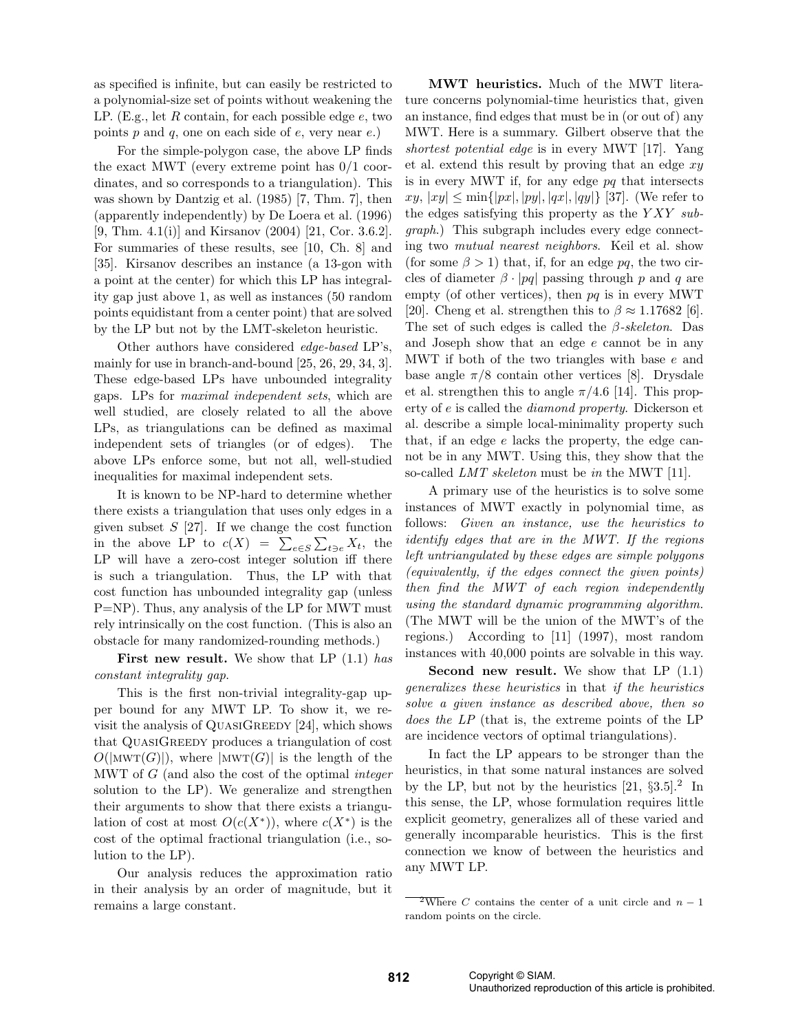as specified is infinite, but can easily be restricted to a polynomial-size set of points without weakening the LP. (E.g., let *R* contain, for each possible edge *e*, two points *p* and *q*, one on each side of *e*, very near *e*.)

For the simple-polygon case, the above LP finds the exact MWT (every extreme point has 0/1 coordinates, and so corresponds to a triangulation). This was shown by Dantzig et al. (1985) [7, Thm. 7], then (apparently independently) by De Loera et al. (1996) [9, Thm. 4.1(i)] and Kirsanov (2004) [21, Cor. 3.6.2]. For summaries of these results, see [10, Ch. 8] and [35]. Kirsanov describes an instance (a 13-gon with a point at the center) for which this LP has integrality gap just above 1, as well as instances (50 random points equidistant from a center point) that are solved by the LP but not by the LMT-skeleton heuristic.

Other authors have considered *edge-based* LP's, mainly for use in branch-and-bound [25, 26, 29, 34, 3]. These edge-based LPs have unbounded integrality gaps. LPs for *maximal independent sets*, which are well studied, are closely related to all the above LPs, as triangulations can be defined as maximal independent sets of triangles (or of edges). The above LPs enforce some, but not all, well-studied inequalities for maximal independent sets.

It is known to be NP-hard to determine whether there exists a triangulation that uses only edges in a given subset  $S$  [27]. If we change the cost function in the above LP to  $c(X) = \sum_{e \in S} \sum_{t \ni e} X_t$ , the LP will have a zero-cost integer solution iff there is such a triangulation. Thus, the LP with that cost function has unbounded integrality gap (unless P=NP). Thus, any analysis of the LP for MWT must rely intrinsically on the cost function. (This is also an obstacle for many randomized-rounding methods.)

First new result. We show that LP (1.1) *has constant integrality gap*.

This is the first non-trivial integrality-gap upper bound for any MWT LP. To show it, we revisit the analysis of QuasiGreedy [24], which shows that QuasiGreedy produces a triangulation of cost  $O(|\text{MWT}(G)|)$ , where  $|\text{MWT}(G)|$  is the length of the MWT of *G* (and also the cost of the optimal *integer* solution to the LP). We generalize and strengthen their arguments to show that there exists a triangulation of cost at most  $O(c(X^*))$ , where  $c(X^*)$  is the cost of the optimal fractional triangulation (i.e., solution to the LP).

Our analysis reduces the approximation ratio in their analysis by an order of magnitude, but it remains a large constant.

MWT heuristics. Much of the MWT literature concerns polynomial-time heuristics that, given an instance, find edges that must be in (or out of) any MWT. Here is a summary. Gilbert observe that the *shortest potential edge* is in every MWT [17]. Yang et al. extend this result by proving that an edge *xy* is in every MWT if, for any edge *pq* that intersects  $xy, |xy| \le \min\{|px|, |py|, |qx|, |qy|\}$  [37]. (We refer to the edges satisfying this property as the *Y XY subgraph*.) This subgraph includes every edge connecting two *mutual nearest neighbors*. Keil et al. show (for some  $\beta > 1$ ) that, if, for an edge pq, the two circles of diameter  $\beta \cdot |pq|$  passing through p and q are empty (of other vertices), then *pq* is in every MWT [20]. Cheng et al. strengthen this to  $\beta \approx 1.17682$  [6]. The set of such edges is called the  $\beta$ -skeleton. Das and Joseph show that an edge *e* cannot be in any MWT if both of the two triangles with base *e* and base angle  $\pi/8$  contain other vertices [8]. Drysdale et al. strengthen this to angle  $\pi/4.6$  [14]. This property of *e* is called the *diamond property*. Dickerson et al. describe a simple local-minimality property such that, if an edge *e* lacks the property, the edge cannot be in any MWT. Using this, they show that the so-called *LMT skeleton* must be *in* the MWT [11].

A primary use of the heuristics is to solve some instances of MWT exactly in polynomial time, as follows: *Given an instance, use the heuristics to identify edges that are in the MWT. If the regions left untriangulated by these edges are simple polygons (equivalently, if the edges connect the given points) then find the MWT of each region independently using the standard dynamic programming algorithm.* (The MWT will be the union of the MWT's of the regions.) According to [11] (1997), most random instances with 40,000 points are solvable in this way.

Second new result. We show that LP  $(1.1)$ *generalizes these heuristics* in that *if the heuristics solve a given instance as described above, then so does the LP* (that is, the extreme points of the LP are incidence vectors of optimal triangulations).

In fact the LP appears to be stronger than the heuristics, in that some natural instances are solved by the LP, but not by the heuristics [21, *§*3.5].<sup>2</sup> In this sense, the LP, whose formulation requires little explicit geometry, generalizes all of these varied and generally incomparable heuristics. This is the first connection we know of between the heuristics and any MWT LP.

 $2$ Where *C* contains the center of a unit circle and  $n - 1$ random points on the circle.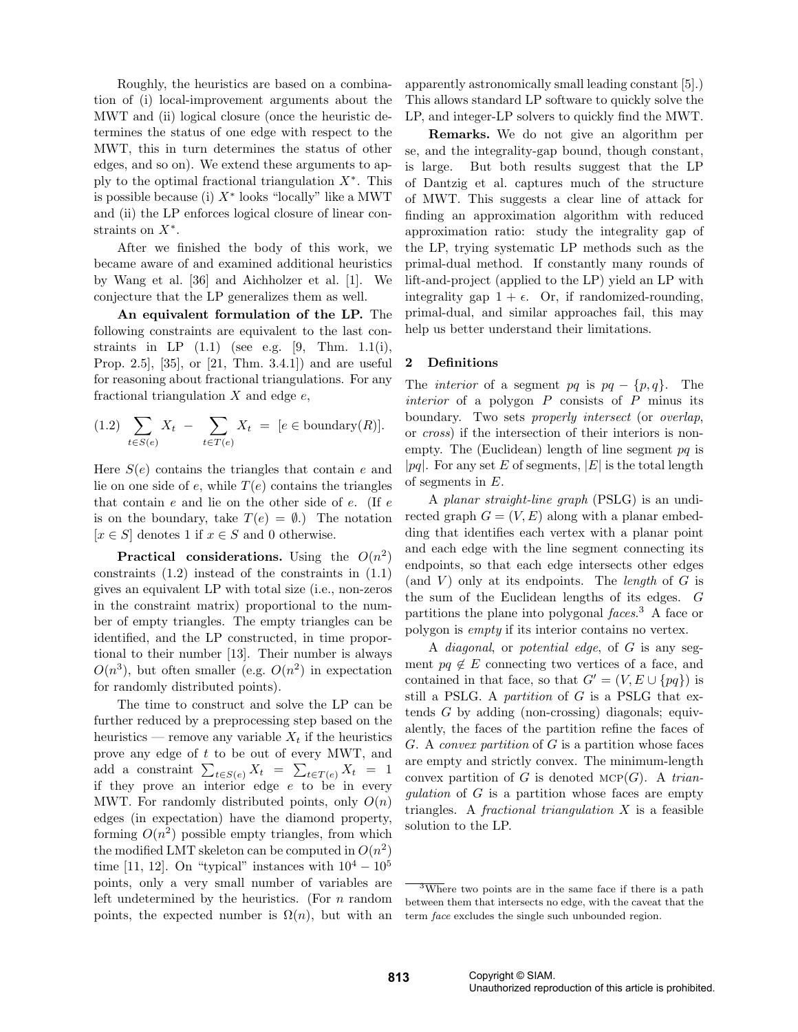Roughly, the heuristics are based on a combination of (i) local-improvement arguments about the MWT and (ii) logical closure (once the heuristic determines the status of one edge with respect to the MWT, this in turn determines the status of other edges, and so on). We extend these arguments to apply to the optimal fractional triangulation *X*⇤. This is possible because (i)  $X^*$  looks "locally" like a MWT and (ii) the LP enforces logical closure of linear constraints on  $X^*$ .

After we finished the body of this work, we became aware of and examined additional heuristics by Wang et al. [36] and Aichholzer et al. [1]. We conjecture that the LP generalizes them as well.

An equivalent formulation of the LP. The following constraints are equivalent to the last constraints in LP  $(1.1)$  (see e.g. [9, Thm. 1.1(i), Prop. 2.5], [35], or [21, Thm. 3.4.1]) and are useful for reasoning about fractional triangulations. For any fractional triangulation *X* and edge *e*,

$$
(1.2) \sum_{t \in S(e)} X_t - \sum_{t \in T(e)} X_t = [e \in \text{boundary}(R)].
$$

Here *S*(*e*) contains the triangles that contain *e* and lie on one side of  $e$ , while  $T(e)$  contains the triangles that contain *e* and lie on the other side of *e*. (If *e* is on the boundary, take  $T(e) = \emptyset$ .) The notation  $[x \in S]$  denotes 1 if  $x \in S$  and 0 otherwise.

**Practical considerations.** Using the  $O(n^2)$ constraints (1.2) instead of the constraints in (1.1) gives an equivalent LP with total size (i.e., non-zeros in the constraint matrix) proportional to the number of empty triangles. The empty triangles can be identified, and the LP constructed, in time proportional to their number [13]. Their number is always  $O(n^3)$ , but often smaller (e.g.  $O(n^2)$ ) in expectation for randomly distributed points).

The time to construct and solve the LP can be further reduced by a preprocessing step based on the heuristics — remove any variable  $X_t$  if the heuristics prove any edge of *t* to be out of every MWT, and add a constraint  $\sum_{t \in S(e)} X_t = \sum_{t \in T(e)} X_t = 1$ if they prove an interior edge *e* to be in every MWT. For randomly distributed points, only  $O(n)$ edges (in expectation) have the diamond property, forming  $O(n^2)$  possible empty triangles, from which the modified LMT skeleton can be computed in  $O(n^2)$ time [11, 12]. On "typical" instances with  $10^4 - 10^5$ points, only a very small number of variables are left undetermined by the heuristics. (For *n* random points, the expected number is  $\Omega(n)$ , but with an apparently astronomically small leading constant [5].) This allows standard LP software to quickly solve the LP, and integer-LP solvers to quickly find the MWT.

Remarks. We do not give an algorithm per se, and the integrality-gap bound, though constant, is large. But both results suggest that the LP of Dantzig et al. captures much of the structure of MWT. This suggests a clear line of attack for finding an approximation algorithm with reduced approximation ratio: study the integrality gap of the LP, trying systematic LP methods such as the primal-dual method. If constantly many rounds of lift-and-project (applied to the LP) yield an LP with integrality gap  $1 + \epsilon$ . Or, if randomized-rounding, primal-dual, and similar approaches fail, this may help us better understand their limitations.

## 2 Definitions

The *interior* of a segment *pq* is  $pq - \{p, q\}$ . The *interior* of a polygon *P* consists of *P* minus its boundary. Two sets *properly intersect* (or *overlap*, or *cross*) if the intersection of their interiors is nonempty. The (Euclidean) length of line segment *pq* is  $|pq|$ . For any set *E* of segments,  $|E|$  is the total length of segments in *E*.

A *planar straight-line graph* (PSLG) is an undirected graph  $G = (V, E)$  along with a planar embedding that identifies each vertex with a planar point and each edge with the line segment connecting its endpoints, so that each edge intersects other edges (and  $V$ ) only at its endpoints. The *length* of  $G$  is the sum of the Euclidean lengths of its edges. *G* partitions the plane into polygonal *faces*. <sup>3</sup> A face or polygon is *empty* if its interior contains no vertex.

A *diagonal*, or *potential edge*, of *G* is any segment  $pq \notin E$  connecting two vertices of a face, and contained in that face, so that  $G' = (V, E \cup \{pq\})$  is still a PSLG. A *partition* of *G* is a PSLG that extends *G* by adding (non-crossing) diagonals; equivalently, the faces of the partition refine the faces of *G*. A *convex partition* of *G* is a partition whose faces are empty and strictly convex. The minimum-length convex partition of *G* is denoted MCP $(G)$ . A *triangulation* of *G* is a partition whose faces are empty triangles. A *fractional triangulation X* is a feasible solution to the LP.

 $\sqrt[3]{3}$ Where two points are in the same face if there is a path between them that intersects no edge, with the caveat that the term *face* excludes the single such unbounded region.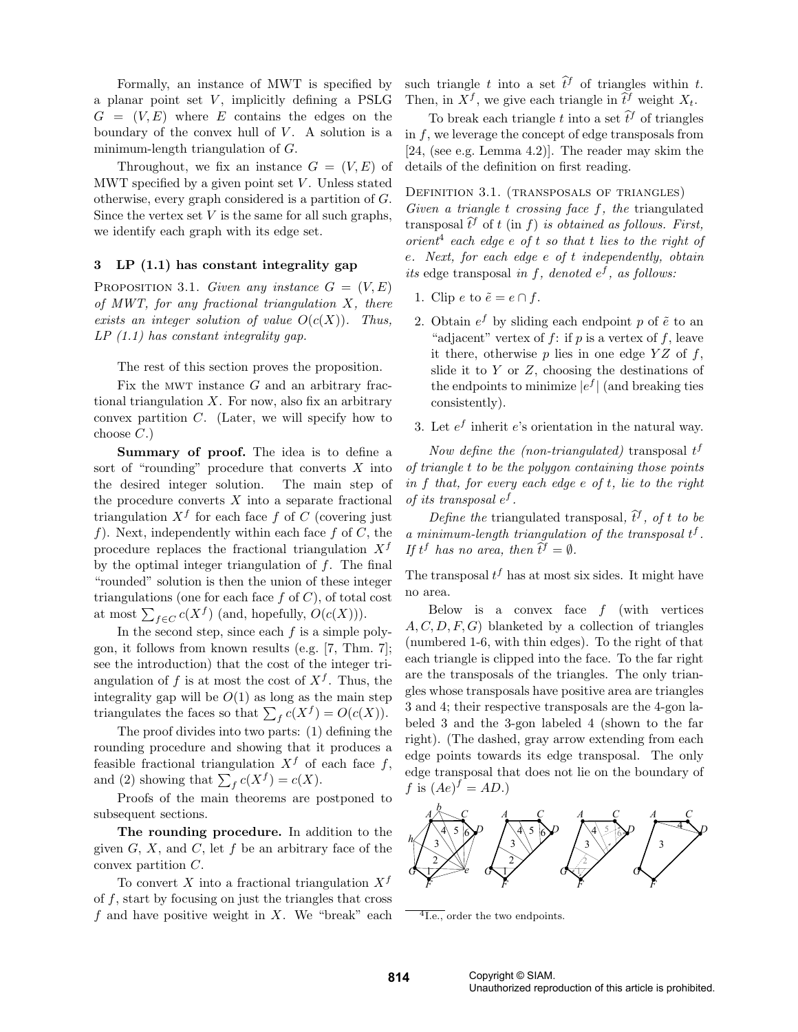Formally, an instance of MWT is specified by a planar point set *V* , implicitly defining a PSLG  $G = (V, E)$  where *E* contains the edges on the boundary of the convex hull of *V*. A solution is a minimum-length triangulation of *G*.

Throughout, we fix an instance  $G = (V, E)$  of MWT specified by a given point set *V*. Unless stated otherwise, every graph considered is a partition of *G*. Since the vertex set  $V$  is the same for all such graphs, we identify each graph with its edge set.

## 3 LP (1.1) has constant integrality gap

PROPOSITION 3.1. *Given any instance*  $G = (V, E)$ *of MWT, for any fractional triangulation X, there exists an integer solution of value*  $O(c(X))$ *. Thus, LP (1.1) has constant integrality gap.*

The rest of this section proves the proposition.

Fix the MWT instance *G* and an arbitrary fractional triangulation *X*. For now, also fix an arbitrary convex partition *C*. (Later, we will specify how to choose *C*.)

Summary of proof. The idea is to define a sort of "rounding" procedure that converts *X* into the desired integer solution. The main step of the procedure converts *X* into a separate fractional triangulation  $X^f$  for each face  $f$  of  $C$  (covering just *f*). Next, independently within each face *f* of *C*, the procedure replaces the fractional triangulation *X<sup>f</sup>* by the optimal integer triangulation of *f*. The final "rounded" solution is then the union of these integer triangulations (one for each face *f* of *C*), of total cost at most  $\sum_{f \in C} c(X^f)$  (and, hopefully,  $O(c(X))$ ).

In the second step, since each *f* is a simple polygon, it follows from known results (e.g. [7, Thm. 7]; see the introduction) that the cost of the integer triangulation of f is at most the cost of  $X<sup>f</sup>$ . Thus, the integrality gap will be  $O(1)$  as long as the main step triangulates the faces so that  $\sum_{f} c(X^{f}) = O(c(X)).$ 

The proof divides into two parts: (1) defining the rounding procedure and showing that it produces a feasible fractional triangulation  $X^f$  of each face  $f$ , and (2) showing that  $\sum_{f} c(X^{f}) = c(X)$ .

Proofs of the main theorems are postponed to subsequent sections.

The rounding procedure. In addition to the given  $G, X$ , and  $C$ , let  $f$  be an arbitrary face of the convex partition *C*.

To convert *X* into a fractional triangulation  $X<sup>f</sup>$ of *f*, start by focusing on just the triangles that cross *f* and have positive weight in *X*. We "break" each such triangle *t* into a set  $\hat{t}$  of triangles within *t*. Then, in  $X^f$ , we give each triangle in  $\hat{t}^f$  weight  $X_t$ .

To break each triangle *t* into a set  $\hat{t}^f$  of triangles in *f*, we leverage the concept of edge transposals from [24, (see e.g. Lemma 4.2)]. The reader may skim the details of the definition on first reading.

DEFINITION 3.1. (TRANSPOSALS OF TRIANGLES)

*Given a triangle t crossing face f, the* triangulated transposal  $\hat{t}^f$  of *t* (in *f*) *is obtained as follows. First, orient*<sup>4</sup> *each edge e of t so that t lies to the right of e. Next, for each edge e of t independently, obtain its* edge transposal *in*  $f$ *, denoted*  $e^f$ *, as follows:* 

- 1. Clip *e* to  $\tilde{e} = e \cap f$ .
- 2. Obtain  $e^f$  by sliding each endpoint p of  $\tilde{e}$  to an "adjacent" vertex of  $f$ : if  $p$  is a vertex of  $f$ , leave it there, otherwise *p* lies in one edge *Y Z* of *f*, slide it to *Y* or *Z*, choosing the destinations of the endpoints to minimize  $|e^f|$  (and breaking ties consistently).
- 3. Let *e<sup>f</sup>* inherit *e*'s orientation in the natural way.

*Now define the (non-triangulated)* transposal *t f of triangle t to be the polygon containing those points in f that, for every each edge e of t, lie to the right of its transposal e<sup>f</sup> .*

*Define the* triangulated transposal,  $\hat{t}^f$ , of *t to be a minimum-length triangulation of the transposal t f .* If  $t^f$  has no area, then  $\hat{t}^f = \emptyset$ .

The transposal  $t^f$  has at most six sides. It might have no area.

Below is a convex face *f* (with vertices *A, C, D, F, G*) blanketed by a collection of triangles (numbered 1-6, with thin edges). To the right of that each triangle is clipped into the face. To the far right are the transposals of the triangles. The only triangles whose transposals have positive area are triangles 3 and 4; their respective transposals are the 4-gon labeled 3 and the 3-gon labeled 4 (shown to the far right). (The dashed, gray arrow extending from each edge points towards its edge transposal. The only edge transposal that does not lie on the boundary of  $f$  is  $(Ae)^f = AD.$ 



 $\overline{^{4}I.e.,}$  order the two endpoints.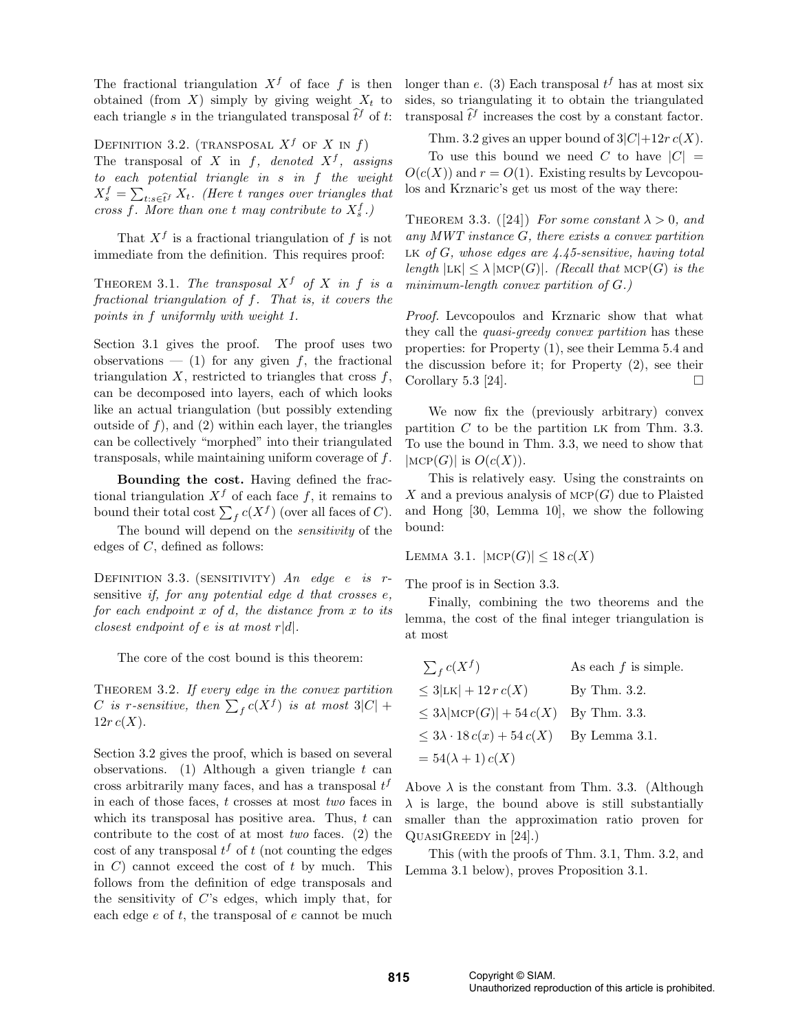The fractional triangulation  $X^f$  of face  $f$  is then obtained (from  $X$ ) simply by giving weight  $X_t$  to each triangle *s* in the triangulated transposal  $\hat{t}^f$  of *t*:

DEFINITION 3.2. (TRANSPOSAL  $X^f$  of X in  $f$ ) The transposal of *X* in *f, denoted*  $X^f$ *, assigns to each potential triangle in s in f the weight*  $X_s^f = \sum_{t:s\in \hat{t}} f_t X_t$ . (Here *t ranges over triangles that cross*  $f$ *. More than one*  $t$  *may contribute to*  $X_s^f$ *.*)

That  $X^f$  is a fractional triangulation of f is not immediate from the definition. This requires proof:

THEOREM 3.1. *The transposal*  $X^f$  *of*  $X$  *in*  $f$  *is a fractional triangulation of f. That is, it covers the points in f uniformly with weight 1.*

Section 3.1 gives the proof. The proof uses two observations  $-$  (1) for any given f, the fractional triangulation  $X$ , restricted to triangles that cross  $f$ , can be decomposed into layers, each of which looks like an actual triangulation (but possibly extending outside of  $f$ ), and  $(2)$  within each layer, the triangles can be collectively "morphed" into their triangulated transposals, while maintaining uniform coverage of *f*.

Bounding the cost. Having defined the fractional triangulation  $X<sup>f</sup>$  of each face  $f$ , it remains to bound their total cost  $\sum_{f} c(X^{f})$  (over all faces of *C*).

The bound will depend on the *sensitivity* of the edges of *C*, defined as follows:

Definition 3.3. (sensitivity) *An edge e is r*sensitive *if, for any potential edge d that crosses e, for each endpoint x of d, the distance from x to its closest endpoint of e is at most*  $r|d$ .

The core of the cost bound is this theorem:

Theorem 3.2. *If every edge in the convex partition*  $C$  *is r*-sensitive, then  $\sum_{f} c(X^{f})$  *is at most*  $3|C|$  +  $12r c(X)$ .

Section 3.2 gives the proof, which is based on several observations. (1) Although a given triangle *t* can cross arbitrarily many faces, and has a transposal *t f* in each of those faces, *t* crosses at most *two* faces in which its transposal has positive area. Thus, *t* can contribute to the cost of at most *two* faces. (2) the  $\cos t$  of any transposal  $t^f$  of  $t$  (not counting the edges in *C*) cannot exceed the cost of *t* by much. This follows from the definition of edge transposals and the sensitivity of *C*'s edges, which imply that, for each edge *e* of *t*, the transposal of *e* cannot be much

longer than  $e$ . (3) Each transposal  $t^f$  has at most six sides, so triangulating it to obtain the triangulated transposal  $\hat{t}^f$  increases the cost by a constant factor.

Thm. 3.2 gives an upper bound of  $3|C|+12r$   $c(X)$ .

To use this bound we need C to have  $|C|$  =  $O(c(X))$  and  $r = O(1)$ . Existing results by Levcopoulos and Krznaric's get us most of the way there:

THEOREM 3.3. ([24]) *For some constant*  $\lambda > 0$ *, and any MWT instance G, there exists a convex partition* lk *of G, whose edges are 4.45-sensitive, having total length*  $|LK| \leq \lambda |MCP(G)|$ *. (Recall that*  $MCP(G)$  *is the minimum-length convex partition of G.)*

*Proof.* Levcopoulos and Krznaric show that what they call the *quasi-greedy convex partition* has these properties: for Property (1), see their Lemma 5.4 and the discussion before it; for Property (2), see their Corollary 5.3 [24].  $\Box$ 

We now fix the (previously arbitrary) convex partition  $C$  to be the partition LK from Thm. 3.3. To use the bound in Thm. 3.3, we need to show that  $|MCP(G)|$  is  $O(c(X)).$ 

This is relatively easy. Using the constraints on X and a previous analysis of  $MCP(G)$  due to Plaisted and Hong [30, Lemma 10], we show the following bound:

LEMMA 3.1.  $|\text{MCP}(G)| \leq 18 c(X)$ 

The proof is in Section 3.3.

Finally, combining the two theorems and the lemma, the cost of the final integer triangulation is at most

 $\sum_{f} c(X^{f})$ As each  $f$  is simple.  $\leq 3|\text{LK}| + 12 r c(X)$  By Thm. 3.2.  $3\lambda |\text{MCP}(G)| + 54 c(X)$  By Thm. 3.3.  $< 3\lambda \cdot 18 c(x) + 54 c(X)$  By Lemma 3.1.  $= 54(\lambda + 1) c(X)$ 

Above  $\lambda$  is the constant from Thm. 3.3. (Although  $\lambda$  is large, the bound above is still substantially smaller than the approximation ratio proven for QuasiGreedy in [24].)

This (with the proofs of Thm. 3.1, Thm. 3.2, and Lemma 3.1 below), proves Proposition 3.1.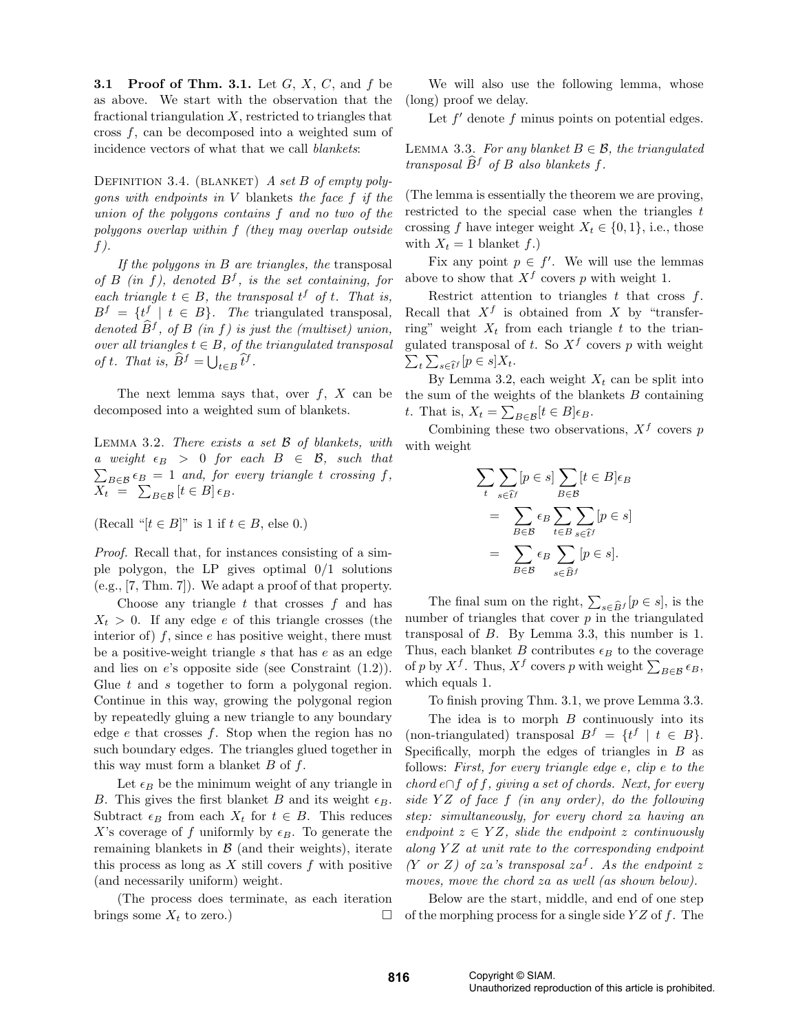3.1 Proof of Thm. 3.1. Let *G*, *X*, *C*, and *f* be as above. We start with the observation that the fractional triangulation *X*, restricted to triangles that cross *f*, can be decomposed into a weighted sum of incidence vectors of what that we call *blankets*:

DEFINITION 3.4. (BLANKET) *A set B of empty polygons with endpoints in V* blankets *the face f if the union of the polygons contains f and no two of the polygons overlap within f (they may overlap outside f).*

*If the polygons in B are triangles, the* transposal *of B (in f), denoted*  $B^f$ *, is the set containing, for each triangle*  $t \in B$ *, the transposal*  $t^f$  *of t. That is,*  $B^f = \{ t^f \mid t \in B \}$ *. The* triangulated transposal, *denoted*  $\widehat{B}^f$ , of *B* (in *f*) is just the (multiset) union,  $over all triangles  $t \in B$ , of the triangulated transposal$ *of t.* That is,  $\widehat{B}^f = \bigcup_{t \in B} \widehat{t}^f$ .

The next lemma says that, over *f*, *X* can be decomposed into a weighted sum of blankets.

Lemma 3.2. *There exists a set B of blankets, with a* weight  $\epsilon_B > 0$  for each  $B \in \mathcal{B}$ , such that  $\sum_{B \subseteq B} \epsilon_B = 1$  and, for every triangle t crossing f.  $\sum_{B \in \mathcal{B}} \epsilon_B = 1$  *and, for every triangle t crossing f*,  $X_t = \sum_{B \in \mathcal{B}} [t \in B] \epsilon_B.$ 

(Recall " $[t \in B]$ " is 1 if  $t \in B$ , else 0.)

*Proof.* Recall that, for instances consisting of a simple polygon, the LP gives optimal 0/1 solutions (e.g., [7, Thm. 7]). We adapt a proof of that property.

Choose any triangle *t* that crosses *f* and has  $X_t > 0$ . If any edge *e* of this triangle crosses (the interior of) *f*, since *e* has positive weight, there must be a positive-weight triangle *s* that has *e* as an edge and lies on *e*'s opposite side (see Constraint (1.2)). Glue *t* and *s* together to form a polygonal region. Continue in this way, growing the polygonal region by repeatedly gluing a new triangle to any boundary edge *e* that crosses *f*. Stop when the region has no such boundary edges. The triangles glued together in this way must form a blanket *B* of *f*.

Let  $\epsilon_B$  be the minimum weight of any triangle in *B*. This gives the first blanket *B* and its weight  $\epsilon_B$ . Subtract  $\epsilon_B$  from each  $X_t$  for  $t \in B$ . This reduces *X*'s coverage of *f* uniformly by  $\epsilon_B$ . To generate the remaining blankets in  $\beta$  (and their weights), iterate this process as long as *X* still covers *f* with positive (and necessarily uniform) weight.

(The process does terminate, as each iteration brings some  $X_t$  to zero.)  $\Box$ 

We will also use the following lemma, whose (long) proof we delay.

Let  $f'$  denote  $f$  minus points on potential edges.

LEMMA 3.3. For any blanket  $B \in \mathcal{B}$ , the triangulated *transposal*  $\widehat{B}^f$  *of B also blankets*  $f$ *.* 

(The lemma is essentially the theorem we are proving, restricted to the special case when the triangles *t* crossing *f* have integer weight  $X_t \in \{0, 1\}$ , i.e., those with  $X_t = 1$  blanket  $f$ .)

Fix any point  $p \in f'$ . We will use the lemmas above to show that  $X^f$  covers p with weight 1.

Restrict attention to triangles *t* that cross *f*. Recall that  $X^f$  is obtained from X by "transferring" weight  $X_t$  from each triangle  $t$  to the triangulated transposal of *t*. So  $X^f$  covers *p* with weight  $\sum_{t} \sum_{s \in \hat{t}^f} [p \in s] X_t.$ 

By Lemma 3.2, each weight  $X_t$  can be split into the sum of the weights of the blankets *B* containing *t*. That is,  $X_t = \sum_{B \in \mathcal{B}} [t \in B] \epsilon_B$ .

Combining these two observations,  $X^f$  covers  $p$ with weight

$$
\sum_{t} \sum_{s \in \hat{t}^f} [p \in s] \sum_{B \in \mathcal{B}} [t \in B] \epsilon_B
$$
  
= 
$$
\sum_{B \in \mathcal{B}} \epsilon_B \sum_{t \in B} \sum_{s \in \hat{t}^f} [p \in s]
$$
  
= 
$$
\sum_{B \in \mathcal{B}} \epsilon_B \sum_{s \in \hat{B}^f} [p \in s].
$$

The final sum on the right,  $\sum_{s \in \widehat{B}^f} [p \in s]$ , is the number of triangles that cover *p* in the triangulated transposal of *B*. By Lemma 3.3, this number is 1. Thus, each blanket *B* contributes  $\epsilon_B$  to the coverage of *p* by  $X^f$ . Thus,  $X^f$  covers *p* with weight  $\sum_{B \in \mathcal{B}} \epsilon_B$ , which equals 1.

To finish proving Thm. 3.1, we prove Lemma 3.3.

The idea is to morph *B* continuously into its  $(non-triangulared) transposal$   $B^f = \{t^f | t \in B\}.$ Specifically, morph the edges of triangles in *B* as follows: *First, for every triangle edge e, clip e to the chord*  $e \cap f$  *of*  $f$ *, giving a set of chords. Next, for every side Y Z of face f (in any order), do the following step: simultaneously, for every chord za having an endpoint*  $z \in YZ$ *, slide the endpoint z continuously along Y Z at unit rate to the corresponding endpoint*  $(Y \text{ or } Z)$  *of za's transposal za*<sup>*f*</sup>. As the endpoint *z moves, move the chord za as well (as shown below).*

Below are the start, middle, and end of one step of the morphing process for a single side *Y Z* of *f*. The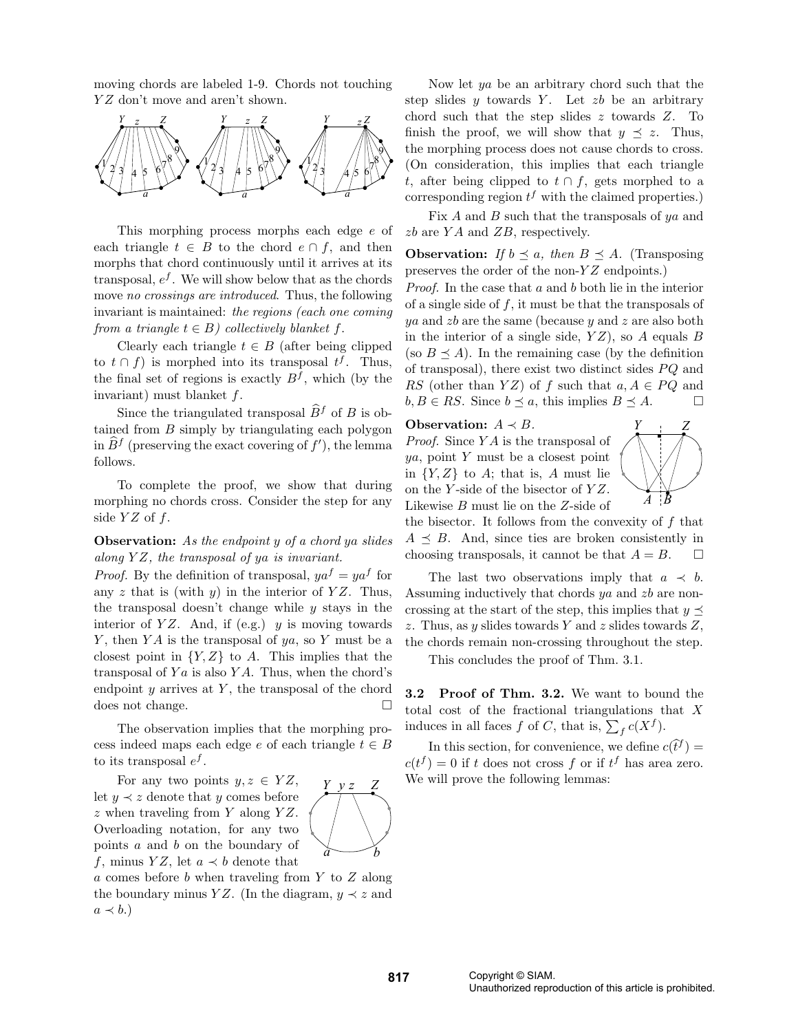moving chords are labeled 1-9. Chords not touching *Y Z* don't move and aren't shown.



This morphing process morphs each edge *e* of each triangle  $t \in B$  to the chord  $e \cap f$ , and then morphs that chord continuously until it arrives at its transposal,  $e^f$ . We will show below that as the chords move *no crossings are introduced*. Thus, the following invariant is maintained: *the regions (each one coming from a triangle*  $t \in B$ *) collectively blanket*  $f$ .

Clearly each triangle  $t \in B$  (after being clipped to  $t \cap f$  is morphed into its transposal  $t^f$ . Thus, the final set of regions is exactly  $B<sup>f</sup>$ , which (by the invariant) must blanket *f*.

Since the triangulated transposal  $\widehat{B}^f$  of *B* is obtained from *B* simply by triangulating each polygon in  $\widehat{B}^f$  (preserving the exact covering of  $f'$ ), the lemma follows.

To complete the proof, we show that during morphing no chords cross. Consider the step for any side *Y Z* of *f*.

Observation: *As the endpoint y of a chord ya slides along Y Z, the transposal of ya is invariant.*

*Proof.* By the definition of transposal,  $ya^f = ya^f$  for any *z* that is (with *y*) in the interior of *Y Z*. Thus, the transposal doesn't change while *y* stays in the interior of *Y Z*. And, if (e.g.) *y* is moving towards *Y* , then *Y A* is the transposal of *ya*, so *Y* must be a closest point in *{Y,Z}* to *A*. This implies that the transposal of *Y a* is also *Y A*. Thus, when the chord's endpoint *y* arrives at *Y* , the transposal of the chord does not change.  $\Box$ 

The observation implies that the morphing process indeed maps each edge  $e$  of each triangle  $t \in B$ to its transposal *e<sup>f</sup>* .

For any two points  $y, z \in YZ$ , let  $y \prec z$  denote that *y* comes before *z* when traveling from *Y* along *Y Z*. Overloading notation, for any two points *a* and *b* on the boundary of *f*, minus *YZ*, let  $a \prec b$  denote that

*a* comes before *b* when traveling from *Y* to *Z* along the boundary minus *YZ*. (In the diagram,  $y \prec z$  and  $a \prec b$ .)

Now let *ya* be an arbitrary chord such that the step slides *y* towards *Y* . Let *zb* be an arbitrary chord such that the step slides *z* towards *Z*. To finish the proof, we will show that  $y \preceq z$ . Thus, the morphing process does not cause chords to cross. (On consideration, this implies that each triangle *t*, after being clipped to  $t \cap f$ , gets morphed to a corresponding region  $t^f$  with the claimed properties.)

Fix *A* and *B* such that the transposals of *ya* and *zb* are *Y A* and *ZB*, respectively.

**Observation:** *If*  $b \leq a$ *, then*  $B \leq A$ *.* (Transposing preserves the order of the non-*Y Z* endpoints.)

*Proof.* In the case that *a* and *b* both lie in the interior of a single side of *f*, it must be that the transposals of *ya* and *zb* are the same (because *y* and *z* are also both in the interior of a single side, *Y Z*), so *A* equals *B* (so  $B \prec A$ ). In the remaining case (by the definition of transposal), there exist two distinct sides *P Q* and *RS* (other than *YZ*) of *f* such that  $a, A \in PQ$  and  $b, B \in RS$ . Since  $b \preceq a$ , this implies  $B \preceq A$ .  $b, B \in RS$ . Since  $b \preceq a$ , this implies  $B \preceq A$ .

#### Observation:  $A \prec B$ *.*

*Proof.* Since *Y A* is the transposal of *ya*, point *Y* must be a closest point in  ${Y,Z}$  to *A*; that is, *A* must lie on the *Y* -side of the bisector of *Y Z*. Likewise *B* must lie on the *Z*-side of



the bisector. It follows from the convexity of *f* that  $A \preceq B$ . And, since ties are broken consistently in choosing transposals, it cannot be that  $A = B$ . choosing transposals, it cannot be that  $A = B$ .

The last two observations imply that  $a \prec b$ . Assuming inductively that chords *ya* and *zb* are noncrossing at the start of the step, this implies that  $y \leq$ *z*. Thus, as *y* slides towards *Y* and *z* slides towards *Z*, the chords remain non-crossing throughout the step.

This concludes the proof of Thm. 3.1.

3.2 Proof of Thm. 3.2. We want to bound the total cost of the fractional triangulations that *X* induces in all faces *f* of *C*, that is,  $\sum_{f} c(X^f)$ .

In this section, for convenience, we define  $c(\hat{t}^f) =$  $c(t^f) = 0$  if *t* does not cross *f* or if  $t^f$  has area zero. We will prove the following lemmas:

*Y Z y z*

*b*

*a*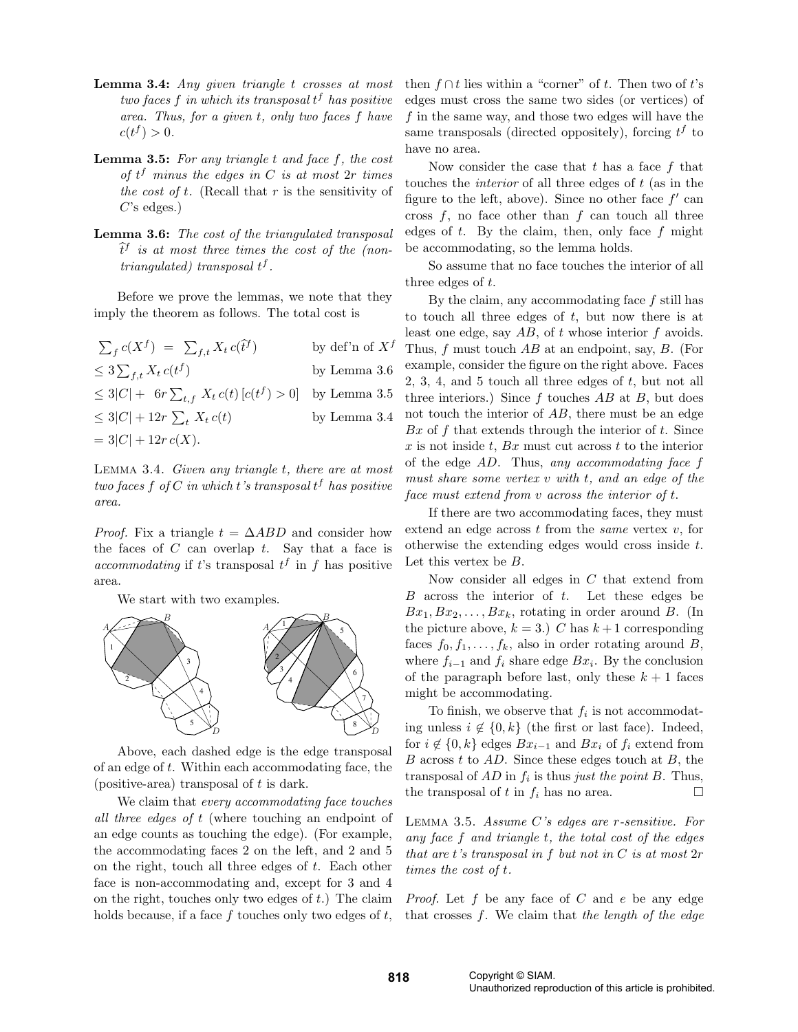- Lemma 3.4: *Any given triangle t crosses at most two faces f in which its transposal t <sup>f</sup> has positive area. Thus, for a given t, only two faces f have*  $c(t^f) > 0.$
- Lemma 3.5: *For any triangle t and face f, the cost of t <sup>f</sup> minus the edges in C is at most* 2*r times the cost of t.* (Recall that *r* is the sensitivity of *C*'s edges.)
- Lemma 3.6: *The cost of the triangulated transposal*  $\hat{t}^f$  *is at most three times the cost of the (nontriangulated) transposal t f .*

Before we prove the lemmas, we note that they imply the theorem as follows. The total cost is

 $\sum_{f} c(X^{f}) = \sum_{f,t} X_{t} c(\widehat{t})$ by def'n of  $X^f$  $\leq 3 \sum_{f,t} X_t c(t)$ *<sup>f</sup>* ) by Lemma 3.6  $\leq 3|C| + 6r \sum_{t,f} X_t c(t) [c(t^f) > 0]$  by Lemma 3.5  $\leq 3|C| + 12r \sum_{t} X_t c(t)$ *<sup>t</sup> X<sup>t</sup> c*(*t*) by Lemma 3.4  $= 3|C| + 12r c(X).$ 

Lemma 3.4. *Given any triangle t, there are at most two faces f of C in which t's transposal t <sup>f</sup> has positive area.*

*Proof.* Fix a triangle  $t = \Delta ABD$  and consider how the faces of *C* can overlap *t*. Say that a face is *accommodating* if *t*'s transposal  $t^f$  in *f* has positive area.

We start with two examples.



Above, each dashed edge is the edge transposal of an edge of *t*. Within each accommodating face, the (positive-area) transposal of *t* is dark.

We claim that *every accommodating face touches all three edges of t* (where touching an endpoint of an edge counts as touching the edge). (For example, the accommodating faces 2 on the left, and 2 and 5 on the right, touch all three edges of *t*. Each other face is non-accommodating and, except for 3 and 4 on the right, touches only two edges of *t*.) The claim holds because, if a face *f* touches only two edges of *t*, then  $f \cap t$  lies within a "corner" of  $t$ . Then two of  $t$ 's edges must cross the same two sides (or vertices) of *f* in the same way, and those two edges will have the same transposals (directed oppositely), forcing  $t^f$  to have no area.

Now consider the case that *t* has a face *f* that touches the *interior* of all three edges of *t* (as in the figure to the left, above). Since no other face  $f'$  can cross  $f$ , no face other than  $f$  can touch all three edges of *t*. By the claim, then, only face *f* might be accommodating, so the lemma holds.

So assume that no face touches the interior of all three edges of *t*.

By the claim, any accommodating face *f* still has to touch all three edges of *t*, but now there is at least one edge, say *AB*, of *t* whose interior *f* avoids. Thus, *f* must touch *AB* at an endpoint, say, *B*. (For example, consider the figure on the right above. Faces 2, 3, 4, and 5 touch all three edges of *t*, but not all three interiors.) Since *f* touches *AB* at *B*, but does not touch the interior of *AB*, there must be an edge *Bx* of *f* that extends through the interior of *t*. Since *x* is not inside *t*, *Bx* must cut across *t* to the interior of the edge *AD*. Thus, *any accommodating face f must share some vertex v with t, and an edge of the face must extend from v across the interior of t*.

If there are two accommodating faces, they must extend an edge across *t* from the *same* vertex *v*, for otherwise the extending edges would cross inside *t*. Let this vertex be *B*.

Now consider all edges in *C* that extend from *B* across the interior of *t*. Let these edges be  $Bx_1, Bx_2, \ldots, Bx_k$ , rotating in order around *B*. (In the picture above,  $k = 3$ .) *C* has  $k + 1$  corresponding faces  $f_0, f_1, \ldots, f_k$ , also in order rotating around *B*, where  $f_{i-1}$  and  $f_i$  share edge  $Bx_i$ . By the conclusion of the paragraph before last, only these  $k+1$  faces might be accommodating.

To finish, we observe that  $f_i$  is not accommodating unless  $i \notin \{0, k\}$  (the first or last face). Indeed, for  $i \notin \{0, k\}$  edges  $Bx_{i-1}$  and  $Bx_i$  of  $f_i$  extend from *B* across *t* to *AD*. Since these edges touch at *B*, the transposal of *AD* in *f<sup>i</sup>* is thus *just the point B*. Thus, the transposal of *t* in  $f_i$  has no area.  $\Box$ 

Lemma 3.5. *Assume C's edges are r-sensitive. For any face f and triangle t, the total cost of the edges that are t's transposal in f but not in C is at most* 2*r times the cost of t.*

*Proof.* Let *f* be any face of *C* and *e* be any edge that crosses *f*. We claim that *the length of the edge*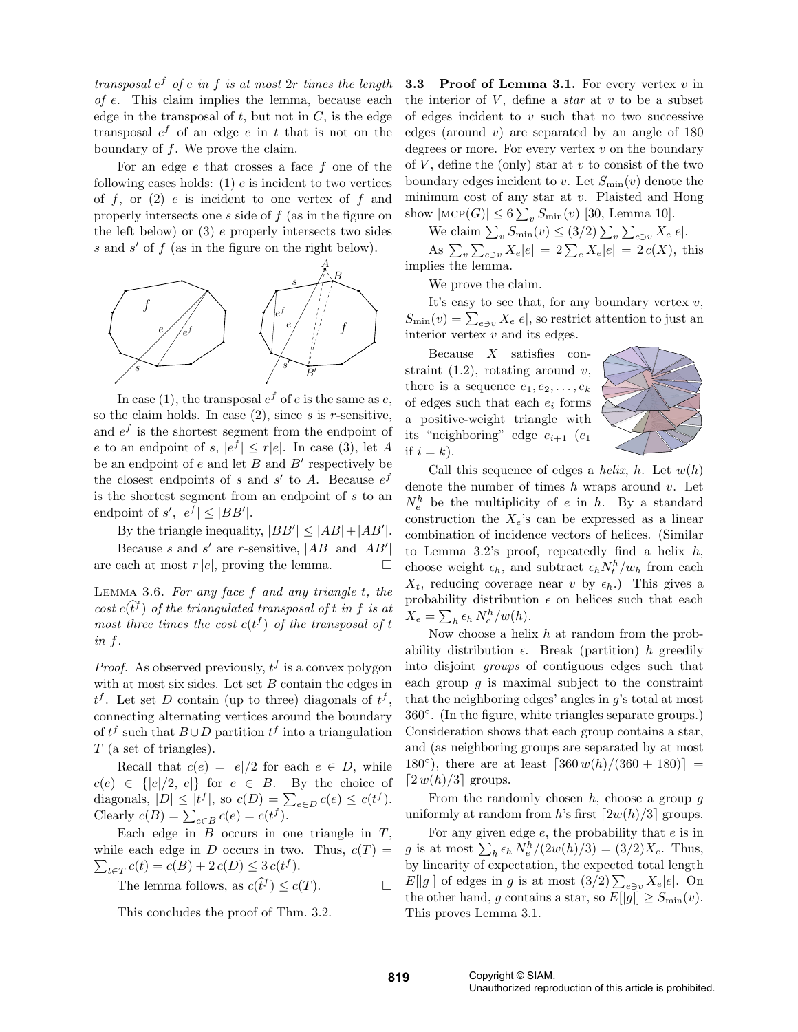*transposal e<sup>f</sup> of e in f is at most* 2*r times the length of e*. This claim implies the lemma, because each edge in the transposal of  $t$ , but not in  $C$ , is the edge transposal  $e^f$  of an edge  $e$  in  $t$  that is not on the boundary of *f*. We prove the claim.

For an edge *e* that crosses a face *f* one of the following cases holds: (1) *e* is incident to two vertices of *f*, or (2) *e* is incident to one vertex of *f* and properly intersects one *s* side of *f* (as in the figure on the left below) or (3) *e* properly intersects two sides  $s$  and  $s'$  of  $f$  (as in the figure on the right below).



In case (1), the transposal  $e^f$  of  $e$  is the same as  $e$ , so the claim holds. In case (2), since *s* is *r*-sensitive, and  $e^f$  is the shortest segment from the endpoint of *e* to an endpoint of *s*,  $|e^f| \leq r|e|$ . In case (3), let *A* be an endpoint of  $e$  and let  $B$  and  $B'$  respectively be the closest endpoints of *s* and  $s'$  to *A*. Because  $e^f$ is the shortest segment from an endpoint of *s* to an endpoint of  $s'$ ,  $|e^f| \leq |BB'|$ .

By the triangle inequality,  $|BB'| \leq |AB| + |AB'|$ .

Because *s* and *s'* are *r*-sensitive,  $|AB|$  and  $|AB'|$ are each at most  $r |e|$ , proving the lemma.

Lemma 3.6. *For any face f and any triangle t, the*  $\cos t c(\hat{t}^f)$  *of the triangulated transposal of t in f is at most three times the cost*  $c(t^f)$  *of the transposal of t in f.*

*Proof.* As observed previously,  $t^f$  is a convex polygon with at most six sides. Let set *B* contain the edges in  $t^f$ . Let set *D* contain (up to three) diagonals of  $t^f$ , connecting alternating vertices around the boundary of  $t^f$  such that  $B \cup D$  partition  $t^f$  into a triangulation *T* (a set of triangles).

Recall that  $c(e) = |e|/2$  for each  $e \in D$ , while  $c(e) \in \{|e|/2, |e|\}$  for  $e \in B$ . By the choice of diagonals,  $|D| \leq |t^f|$ , so  $c(D) = \sum_{e \in D} c(e) \leq c(t^f)$ . Clearly  $c(B) = \sum_{e \in B} c(e) = c(t^f)$ .

Each edge in *B* occurs in one triangle in *T*, while each edge in  $D$  occurs in two. Thus,  $c(T)$  =  $\sum_{t \in T} c(t) = c(B) + 2 c(D) \leq 3 c(t^f).$ 

The lemma follows, as  $c(\hat{t}^f) \leq c(T)$ .  $\Box$ 

This concludes the proof of Thm. 3.2.

3.3 Proof of Lemma 3.1. For every vertex *v* in the interior of *V* , define a *star* at *v* to be a subset of edges incident to *v* such that no two successive edges (around *v*) are separated by an angle of 180 degrees or more. For every vertex *v* on the boundary of *V* , define the (only) star at *v* to consist of the two boundary edges incident to *v*. Let  $S_{\text{min}}(v)$  denote the minimum cost of any star at *v*. Plaisted and Hong show  $|\text{MCP}(G)| \leq 6 \sum_{v} S_{\text{min}}(v)$  [30, Lemma 10].

We claim  $\sum_{v} S_{\min}(v) \leq (3/2) \sum_{v} \sum_{e \ni v} X_e |e|.$ 

As  $\sum_{v} \sum_{e \ni v} X_e |e| = 2 \sum_{e} X_e |e| = 2 c(X)$ , this implies the lemma.

We prove the claim.

It's easy to see that, for any boundary vertex *v*,  $S_{\min}(v) = \sum_{e \ni v} X_e |e|$ , so restrict attention to just an interior vertex *v* and its edges.

Because *X* satisfies constraint (1.2), rotating around *v*, there is a sequence  $e_1, e_2, \ldots, e_k$ of edges such that each  $e_i$  forms a positive-weight triangle with its "neighboring" edge *ei*+1 (*e*<sup>1</sup> if  $i = k$ ).



Call this sequence of edges a *helix*, *h*. Let  $w(h)$ denote the number of times *h* wraps around *v*. Let  $N_e^h$  be the multiplicity of *e* in *h*. By a standard construction the  $X_e$ 's can be expressed as a linear combination of incidence vectors of helices. (Similar to Lemma 3.2's proof, repeatedly find a helix *h*, choose weight  $\epsilon_h$ , and subtract  $\epsilon_h N_t^h/w_h$  from each  $X_t$ , reducing coverage near *v* by  $\epsilon_h$ .) This gives a probability distribution  $\epsilon$  on helices such that each  $X_e = \sum_h \epsilon_h N_e^h/w(h).$ 

Now choose a helix *h* at random from the probability distribution  $\epsilon$ . Break (partition) *h* greedily into disjoint *groups* of contiguous edges such that each group  $q$  is maximal subject to the constraint that the neighboring edges' angles in *g*'s total at most  $360^\circ$ . (In the figure, white triangles separate groups.) Consideration shows that each group contains a star, and (as neighboring groups are separated by at most 180°), there are at least  $[360 \, w(h)/(360 + 180)] =$  $\lceil 2 w(h)/3 \rceil$  groups.

From the randomly chosen *h*, choose a group *g* uniformly at random from *h*'s first  $\lceil 2w(h)/3 \rceil$  groups.

For any given edge *e*, the probability that *e* is in *g* is at most  $\sum_{h} \epsilon_h N_e^h / (2w(h)/3) = (3/2)X_e$ . Thus, by linearity of expectation, the expected total length  $E[|g|]$  of edges in *g* is at most  $(3/2)\sum_{e \ni v} X_e|e|$ . On the other hand, *g* contains a star, so  $E[|g|] \geq S_{\min}(v)$ . This proves Lemma 3.1.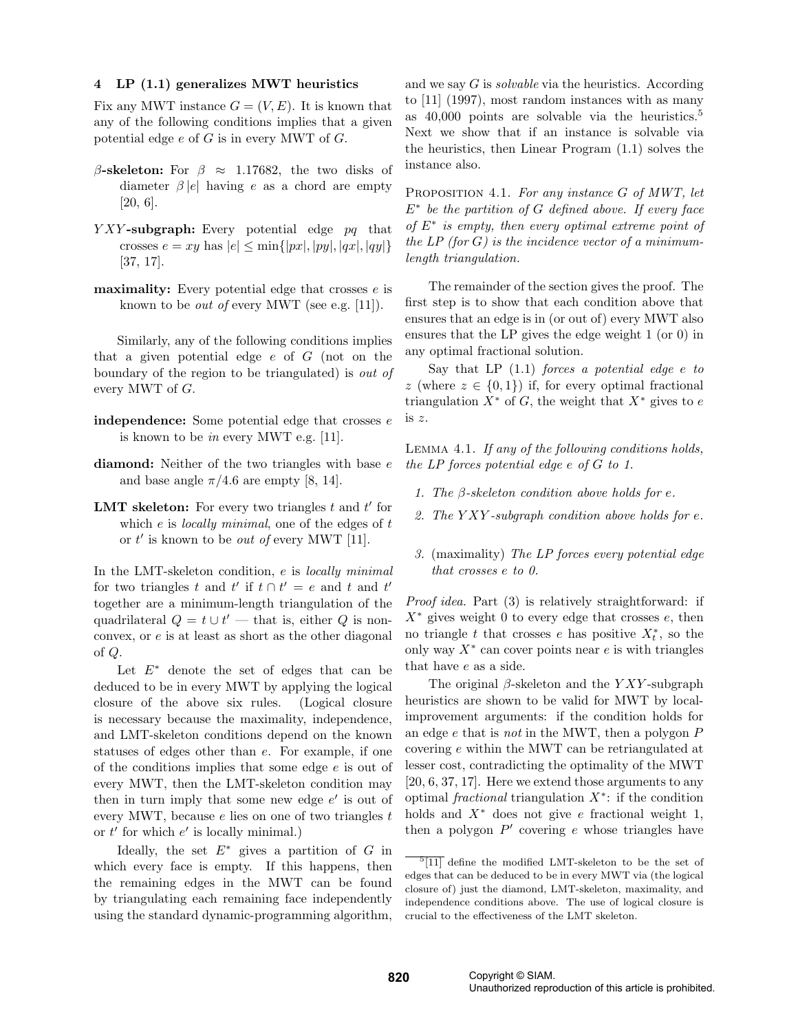## 4 LP (1.1) generalizes MWT heuristics

Fix any MWT instance  $G = (V, E)$ . It is known that any of the following conditions implies that a given potential edge *e* of *G* is in every MWT of *G*.

- $\beta$ -skeleton: For  $\beta \approx 1.17682$ , the two disks of diameter  $\beta |e|$  having *e* as a chord are empty [20, 6].
- *Y XY* -subgraph: Every potential edge *pq* that crosses  $e = xy$  has  $|e| \le \min\{|px|, |py|, |qx|, |qy|\}$ [37, 17].
- maximality: Every potential edge that crosses *e* is known to be *out of* every MWT (see e.g. [11]).

Similarly, any of the following conditions implies that a given potential edge *e* of *G* (not on the boundary of the region to be triangulated) is *out of* every MWT of *G*.

- independence: Some potential edge that crosses *e* is known to be *in* every MWT e.g. [11].
- diamond: Neither of the two triangles with base *e* and base angle  $\pi/4.6$  are empty [8, 14].
- **LMT** skeleton: For every two triangles t and t' for which *e* is *locally minimal*, one of the edges of *t* or *t'* is known to be *out of* every MWT [11].

In the LMT-skeleton condition, *e* is *locally minimal* for two triangles  $t$  and  $t'$  if  $t \cap t' = e$  and  $t$  and  $t'$ together are a minimum-length triangulation of the quadrilateral  $Q = t \cup t'$  — that is, either  $Q$  is nonconvex, or *e* is at least as short as the other diagonal of *Q*.

Let  $E^*$  denote the set of edges that can be deduced to be in every MWT by applying the logical closure of the above six rules. (Logical closure is necessary because the maximality, independence, and LMT-skeleton conditions depend on the known statuses of edges other than *e*. For example, if one of the conditions implies that some edge *e* is out of every MWT, then the LMT-skeleton condition may then in turn imply that some new edge  $e'$  is out of every MWT, because *e* lies on one of two triangles *t* or  $t'$  for which  $e'$  is locally minimal.)

Ideally, the set  $E^*$  gives a partition of  $G$  in which every face is empty. If this happens, then the remaining edges in the MWT can be found by triangulating each remaining face independently using the standard dynamic-programming algorithm,

and we say *G* is *solvable* via the heuristics. According to [11] (1997), most random instances with as many as  $40,000$  points are solvable via the heuristics.<sup>5</sup> Next we show that if an instance is solvable via the heuristics, then Linear Program (1.1) solves the instance also.

Proposition 4.1. *For any instance G of MWT, let E*⇤ *be the partition of G defined above. If every face of E*⇤ *is empty, then every optimal extreme point of the LP (for G) is the incidence vector of a minimumlength triangulation.*

The remainder of the section gives the proof. The first step is to show that each condition above that ensures that an edge is in (or out of) every MWT also ensures that the LP gives the edge weight 1 (or 0) in any optimal fractional solution.

Say that LP (1.1) *forces a potential edge e to z* (where  $z \in \{0, 1\}$ ) if, for every optimal fractional triangulation  $X^*$  of *G*, the weight that  $X^*$  gives to *e* is *z*.

Lemma 4.1. *If any of the following conditions holds, the LP forces potential edge e of G to 1.*

- *1. The*  $\beta$ -skeleton condition above holds for  $e$ .
- *2. The Y XY -subgraph condition above holds for e.*
- *3.* (maximality) *The LP forces every potential edge that crosses e to 0.*

*Proof idea.* Part (3) is relatively straightforward: if  $X^*$  gives weight 0 to every edge that crosses  $e$ , then no triangle *t* that crosses *e* has positive  $X_t^*$ , so the only way  $X^*$  can cover points near  $e$  is with triangles that have *e* as a side.

The original  $\beta$ -skeleton and the *YXY*-subgraph heuristics are shown to be valid for MWT by localimprovement arguments: if the condition holds for an edge *e* that is *not* in the MWT, then a polygon *P* covering *e* within the MWT can be retriangulated at lesser cost, contradicting the optimality of the MWT [20, 6, 37, 17]. Here we extend those arguments to any optimal *fractional* triangulation *X*⇤: if the condition holds and  $X^*$  does not give  $e$  fractional weight 1, then a polygon  $P'$  covering  $e$  whose triangles have

 $\sqrt[5]{11}$  define the modified LMT-skeleton to be the set of edges that can be deduced to be in every MWT via (the logical closure of) just the diamond, LMT-skeleton, maximality, and independence conditions above. The use of logical closure is crucial to the effectiveness of the LMT skeleton.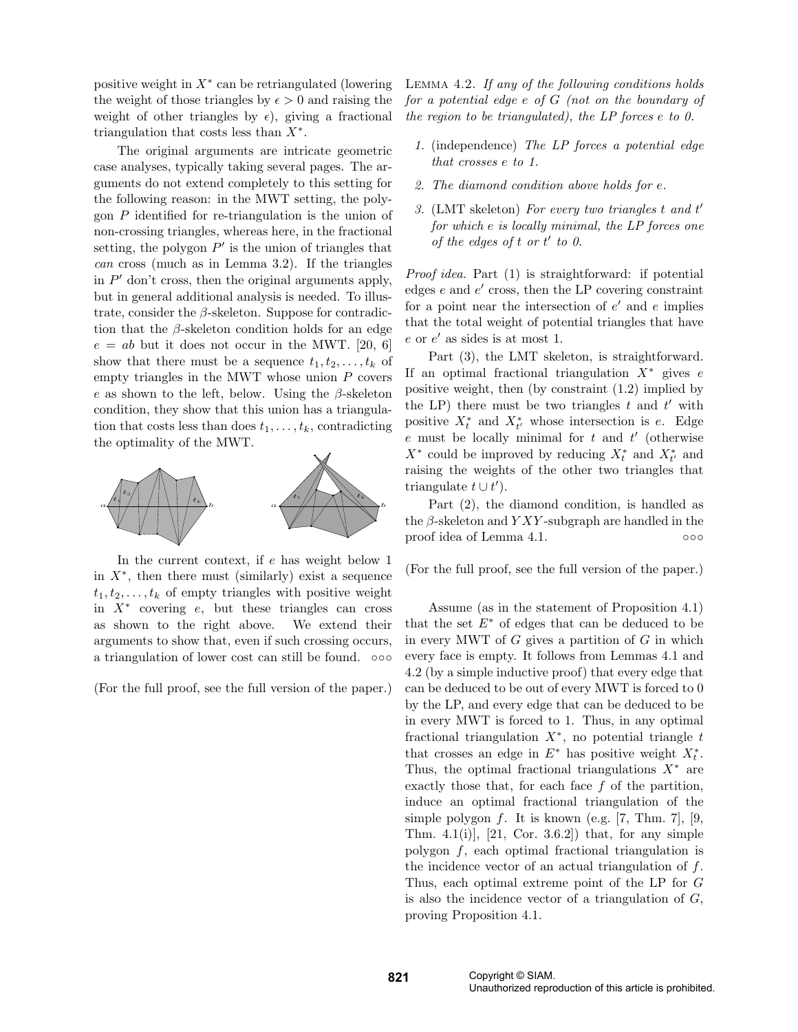positive weight in  $X^*$  can be retriangulated (lowering the weight of those triangles by  $\epsilon > 0$  and raising the weight of other triangles by  $\epsilon$ ), giving a fractional triangulation that costs less than *X*⇤.

The original arguments are intricate geometric case analyses, typically taking several pages. The arguments do not extend completely to this setting for the following reason: in the MWT setting, the polygon *P* identified for re-triangulation is the union of non-crossing triangles, whereas here, in the fractional setting, the polygon  $P'$  is the union of triangles that *can* cross (much as in Lemma 3.2). If the triangles in  $P'$  don't cross, then the original arguments apply, but in general additional analysis is needed. To illustrate, consider the  $\beta$ -skeleton. Suppose for contradiction that the  $\beta$ -skeleton condition holds for an edge  $e = ab$  but it does not occur in the MWT. [20, 6] show that there must be a sequence  $t_1, t_2, \ldots, t_k$  of empty triangles in the MWT whose union *P* covers  $e$  as shown to the left, below. Using the  $\beta$ -skeleton condition, they show that this union has a triangulation that costs less than does  $t_1, \ldots, t_k$ , contradicting the optimality of the MWT.



In the current context, if *e* has weight below 1 in  $X^*$ , then there must (similarly) exist a sequence  $t_1, t_2, \ldots, t_k$  of empty triangles with positive weight in  $X^*$  covering  $e$ , but these triangles can cross as shown to the right above. We extend their arguments to show that, even if such crossing occurs, a triangulation of lower cost can still be found.

(For the full proof, see the full version of the paper.)

Lemma 4.2. *If any of the following conditions holds for a potential edge e of G (not on the boundary of the region to be triangulated), the LP forces e to 0.*

- *1.* (independence) *The LP forces a potential edge that crosses e to 1.*
- *2. The diamond condition above holds for e.*
- *3.* (LMT skeleton) *For every two triangles t and t* 0 *for which e is locally minimal, the LP forces one of the edges of t or t' to 0.*

*Proof idea.* Part (1) is straightforward: if potential edges  $e$  and  $e'$  cross, then the LP covering constraint for a point near the intersection of  $e'$  and  $e$  implies that the total weight of potential triangles that have  $e$  or  $e'$  as sides is at most 1.

Part (3), the LMT skeleton, is straightforward. If an optimal fractional triangulation  $X^*$  gives  $e$ positive weight, then (by constraint (1.2) implied by the LP) there must be two triangles  $t$  and  $t'$  with positive  $X_t^*$  and  $X_{t'}^*$  whose intersection is *e*. Edge *e* must be locally minimal for *t* and *t* <sup>0</sup> (otherwise  $X^*$  could be improved by reducing  $X_t^*$  and  $X_{t'}^*$  and raising the weights of the other two triangles that triangulate  $t \cup t'$ ).

Part (2), the diamond condition, is handled as the  $\beta$ -skeleton and *YXY*-subgraph are handled in the proof idea of Lemma 4.1.

(For the full proof, see the full version of the paper.)

Assume (as in the statement of Proposition 4.1) that the set  $E^*$  of edges that can be deduced to be in every MWT of *G* gives a partition of *G* in which every face is empty. It follows from Lemmas 4.1 and 4.2 (by a simple inductive proof) that every edge that can be deduced to be out of every MWT is forced to 0 by the LP, and every edge that can be deduced to be in every MWT is forced to 1. Thus, in any optimal fractional triangulation  $X^*$ , no potential triangle  $t$ that crosses an edge in  $E^*$  has positive weight  $X_t^*$ . Thus, the optimal fractional triangulations  $X^*$  are exactly those that, for each face *f* of the partition, induce an optimal fractional triangulation of the simple polygon  $f$ . It is known (e.g. [7, Thm. 7], [9, Thm. 4.1(i)], [21, Cor. 3.6.2]) that, for any simple polygon *f*, each optimal fractional triangulation is the incidence vector of an actual triangulation of *f*. Thus, each optimal extreme point of the LP for *G* is also the incidence vector of a triangulation of *G*, proving Proposition 4.1.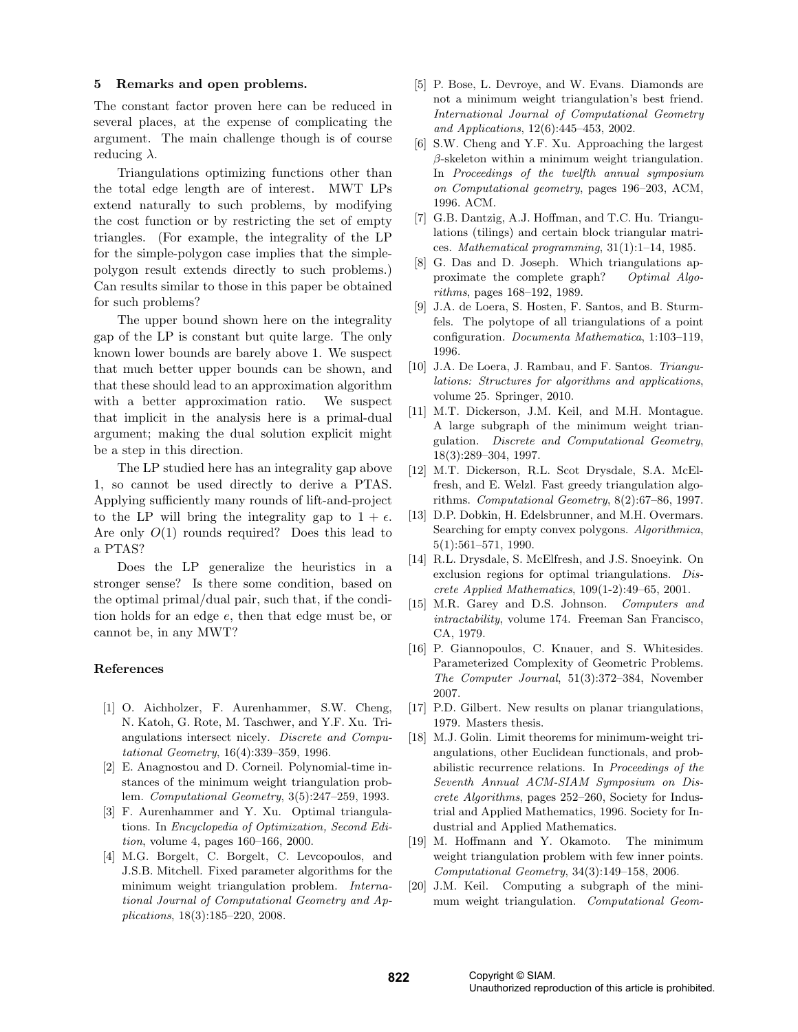#### 5 Remarks and open problems.

The constant factor proven here can be reduced in several places, at the expense of complicating the argument. The main challenge though is of course reducing  $\lambda$ .

Triangulations optimizing functions other than the total edge length are of interest. MWT LPs extend naturally to such problems, by modifying the cost function or by restricting the set of empty triangles. (For example, the integrality of the LP for the simple-polygon case implies that the simplepolygon result extends directly to such problems.) Can results similar to those in this paper be obtained for such problems?

The upper bound shown here on the integrality gap of the LP is constant but quite large. The only known lower bounds are barely above 1. We suspect that much better upper bounds can be shown, and that these should lead to an approximation algorithm with a better approximation ratio. We suspect that implicit in the analysis here is a primal-dual argument; making the dual solution explicit might be a step in this direction.

The LP studied here has an integrality gap above 1, so cannot be used directly to derive a PTAS. Applying sufficiently many rounds of lift-and-project to the LP will bring the integrality gap to  $1 + \epsilon$ . Are only *O*(1) rounds required? Does this lead to a PTAS?

Does the LP generalize the heuristics in a stronger sense? Is there some condition, based on the optimal primal/dual pair, such that, if the condition holds for an edge *e*, then that edge must be, or cannot be, in any MWT?

#### References

- [1] O. Aichholzer, F. Aurenhammer, S.W. Cheng, N. Katoh, G. Rote, M. Taschwer, and Y.F. Xu. Triangulations intersect nicely. *Discrete and Computational Geometry*, 16(4):339–359, 1996.
- [2] E. Anagnostou and D. Corneil. Polynomial-time instances of the minimum weight triangulation problem. *Computational Geometry*, 3(5):247–259, 1993.
- [3] F. Aurenhammer and Y. Xu. Optimal triangulations. In *Encyclopedia of Optimization, Second Edition*, volume 4, pages 160–166, 2000.
- [4] M.G. Borgelt, C. Borgelt, C. Levcopoulos, and J.S.B. Mitchell. Fixed parameter algorithms for the minimum weight triangulation problem. *International Journal of Computational Geometry and Applications*, 18(3):185–220, 2008.
- [5] P. Bose, L. Devroye, and W. Evans. Diamonds are not a minimum weight triangulation's best friend. *International Journal of Computational Geometry and Applications*, 12(6):445–453, 2002.
- [6] S.W. Cheng and Y.F. Xu. Approaching the largest  $\beta$ -skeleton within a minimum weight triangulation. In *Proceedings of the twelfth annual symposium on Computational geometry*, pages 196–203, ACM, 1996. ACM.
- [7] G.B. Dantzig, A.J. Hoffman, and T.C. Hu. Triangulations (tilings) and certain block triangular matrices. *Mathematical programming*, 31(1):1–14, 1985.
- [8] G. Das and D. Joseph. Which triangulations approximate the complete graph? *Optimal Algorithms*, pages 168–192, 1989.
- [9] J.A. de Loera, S. Hosten, F. Santos, and B. Sturmfels. The polytope of all triangulations of a point configuration. *Documenta Mathematica*, 1:103–119, 1996.
- [10] J.A. De Loera, J. Rambau, and F. Santos. *Triangulations: Structures for algorithms and applications*, volume 25. Springer, 2010.
- [11] M.T. Dickerson, J.M. Keil, and M.H. Montague. A large subgraph of the minimum weight triangulation. *Discrete and Computational Geometry*, 18(3):289–304, 1997.
- [12] M.T. Dickerson, R.L. Scot Drysdale, S.A. McElfresh, and E. Welzl. Fast greedy triangulation algorithms. *Computational Geometry*, 8(2):67–86, 1997.
- [13] D.P. Dobkin, H. Edelsbrunner, and M.H. Overmars. Searching for empty convex polygons. *Algorithmica*, 5(1):561–571, 1990.
- [14] R.L. Drysdale, S. McElfresh, and J.S. Snoeyink. On exclusion regions for optimal triangulations. *Discrete Applied Mathematics*, 109(1-2):49–65, 2001.
- [15] M.R. Garey and D.S. Johnson. *Computers and intractability*, volume 174. Freeman San Francisco, CA, 1979.
- [16] P. Giannopoulos, C. Knauer, and S. Whitesides. Parameterized Complexity of Geometric Problems. *The Computer Journal*, 51(3):372–384, November 2007.
- [17] P.D. Gilbert. New results on planar triangulations. 1979. Masters thesis.
- [18] M.J. Golin. Limit theorems for minimum-weight triangulations, other Euclidean functionals, and probabilistic recurrence relations. In *Proceedings of the Seventh Annual ACM-SIAM Symposium on Discrete Algorithms*, pages 252–260, Society for Industrial and Applied Mathematics, 1996. Society for Industrial and Applied Mathematics.
- [19] M. Hoffmann and Y. Okamoto. The minimum weight triangulation problem with few inner points. *Computational Geometry*, 34(3):149–158, 2006.
- [20] J.M. Keil. Computing a subgraph of the minimum weight triangulation. *Computational Geom-*